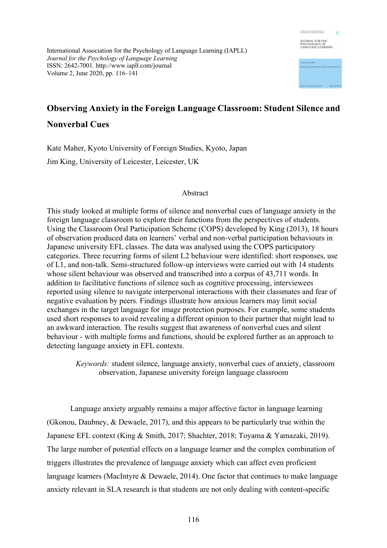

International Association for the Psychology of Language Learning (IAPLL) *Journal for the Psychology of Language Learning* ISSN: 2642-7001. http://www.iapll.com/journal Volume 2, June 2020, pp. 116–141

# **Observing Anxiety in the Foreign Language Classroom: Student Silence and Nonverbal Cues**

Kate Maher, Kyoto University of Foreign Studies, Kyoto, Japan Jim King, University of Leicester, Leicester, UK

## Abstract

This study looked at multiple forms of silence and nonverbal cues of language anxiety in the foreign language classroom to explore their functions from the perspectives of students. Using the Classroom Oral Participation Scheme (COPS) developed by King (2013), 18 hours of observation produced data on learners' verbal and non-verbal participation behaviours in Japanese university EFL classes. The data was analysed using the COPS participatory categories. Three recurring forms of silent L2 behaviour were identified: short responses, use of L1, and non-talk. Semi-structured follow-up interviews were carried out with 14 students whose silent behaviour was observed and transcribed into a corpus of 43,711 words. In addition to facilitative functions of silence such as cognitive processing, interviewees reported using silence to navigate interpersonal interactions with their classmates and fear of negative evaluation by peers. Findings illustrate how anxious learners may limit social exchanges in the target language for image protection purposes. For example, some students used short responses to avoid revealing a different opinion to their partner that might lead to an awkward interaction. The results suggest that awareness of nonverbal cues and silent behaviour - with multiple forms and functions, should be explored further as an approach to detecting language anxiety in EFL contexts.

*Keywords:* student silence, language anxiety, nonverbal cues of anxiety, classroom observation, Japanese university foreign language classroom

Language anxiety arguably remains a major affective factor in language learning (Gkonou, Daubney, & Dewaele, 2017), and this appears to be particularly true within the Japanese EFL context (King & Smith, 2017; Shachter, 2018; Toyama & Yamazaki, 2019). The large number of potential effects on a language learner and the complex combination of triggers illustrates the prevalence of language anxiety which can affect even proficient language learners (MacIntyre & Dewaele, 2014). One factor that continues to make language anxiety relevant in SLA research is that students are not only dealing with content-specific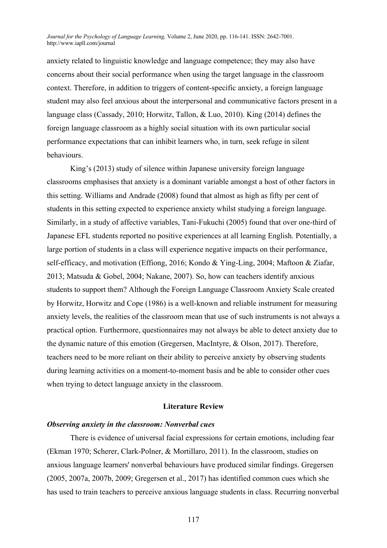anxiety related to linguistic knowledge and language competence; they may also have concerns about their social performance when using the target language in the classroom context. Therefore, in addition to triggers of content-specific anxiety, a foreign language student may also feel anxious about the interpersonal and communicative factors present in a language class (Cassady, 2010; Horwitz, Tallon, & Luo, 2010). King (2014) defines the foreign language classroom as a highly social situation with its own particular social performance expectations that can inhibit learners who, in turn, seek refuge in silent behaviours.

King's (2013) study of silence within Japanese university foreign language classrooms emphasises that anxiety is a dominant variable amongst a host of other factors in this setting. Williams and Andrade (2008) found that almost as high as fifty per cent of students in this setting expected to experience anxiety whilst studying a foreign language. Similarly, in a study of affective variables, Tani-Fukuchi (2005) found that over one-third of Japanese EFL students reported no positive experiences at all learning English. Potentially, a large portion of students in a class will experience negative impacts on their performance, self-efficacy, and motivation (Effiong, 2016; Kondo & Ying-Ling, 2004; Maftoon & Ziafar, 2013; Matsuda & Gobel, 2004; Nakane, 2007). So, how can teachers identify anxious students to support them? Although the Foreign Language Classroom Anxiety Scale created by Horwitz, Horwitz and Cope (1986) is a well-known and reliable instrument for measuring anxiety levels, the realities of the classroom mean that use of such instruments is not always a practical option. Furthermore, questionnaires may not always be able to detect anxiety due to the dynamic nature of this emotion (Gregersen, MacIntyre, & Olson, 2017). Therefore, teachers need to be more reliant on their ability to perceive anxiety by observing students during learning activities on a moment-to-moment basis and be able to consider other cues when trying to detect language anxiety in the classroom.

#### **Literature Review**

### *Observing anxiety in the classroom: Nonverbal cues*

There is evidence of universal facial expressions for certain emotions, including fear (Ekman 1970; Scherer, Clark-Polner, & Mortillaro, 2011). In the classroom, studies on anxious language learners' nonverbal behaviours have produced similar findings. Gregersen (2005, 2007a, 2007b, 2009; Gregersen et al., 2017) has identified common cues which she has used to train teachers to perceive anxious language students in class. Recurring nonverbal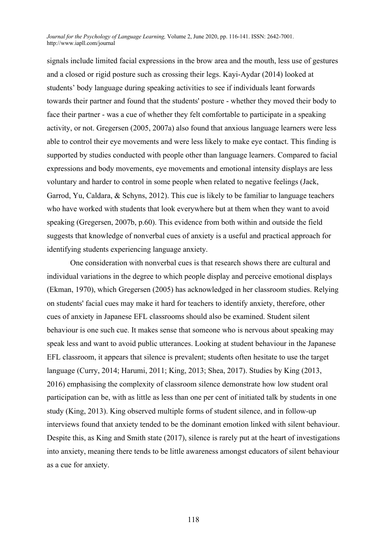signals include limited facial expressions in the brow area and the mouth, less use of gestures and a closed or rigid posture such as crossing their legs. Kayi-Aydar (2014) looked at students' body language during speaking activities to see if individuals leant forwards towards their partner and found that the students' posture - whether they moved their body to face their partner - was a cue of whether they felt comfortable to participate in a speaking activity, or not. Gregersen (2005, 2007a) also found that anxious language learners were less able to control their eye movements and were less likely to make eye contact. This finding is supported by studies conducted with people other than language learners. Compared to facial expressions and body movements, eye movements and emotional intensity displays are less voluntary and harder to control in some people when related to negative feelings (Jack, Garrod, Yu, Caldara, & Schyns, 2012). This cue is likely to be familiar to language teachers who have worked with students that look everywhere but at them when they want to avoid speaking (Gregersen, 2007b, p.60). This evidence from both within and outside the field suggests that knowledge of nonverbal cues of anxiety is a useful and practical approach for identifying students experiencing language anxiety.

One consideration with nonverbal cues is that research shows there are cultural and individual variations in the degree to which people display and perceive emotional displays (Ekman, 1970), which Gregersen (2005) has acknowledged in her classroom studies. Relying on students' facial cues may make it hard for teachers to identify anxiety, therefore, other cues of anxiety in Japanese EFL classrooms should also be examined. Student silent behaviour is one such cue. It makes sense that someone who is nervous about speaking may speak less and want to avoid public utterances. Looking at student behaviour in the Japanese EFL classroom, it appears that silence is prevalent; students often hesitate to use the target language (Curry, 2014; Harumi, 2011; King, 2013; Shea, 2017). Studies by King (2013, 2016) emphasising the complexity of classroom silence demonstrate how low student oral participation can be, with as little as less than one per cent of initiated talk by students in one study (King, 2013). King observed multiple forms of student silence, and in follow-up interviews found that anxiety tended to be the dominant emotion linked with silent behaviour. Despite this, as King and Smith state (2017), silence is rarely put at the heart of investigations into anxiety, meaning there tends to be little awareness amongst educators of silent behaviour as a cue for anxiety.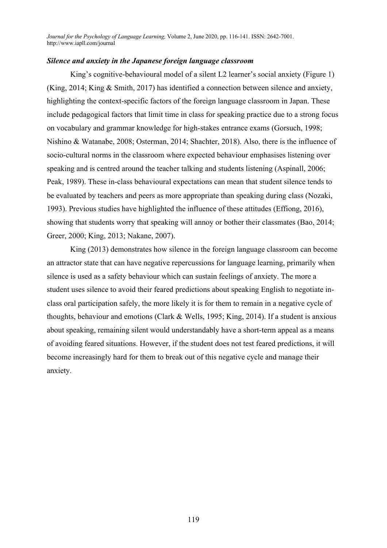# *Silence and anxiety in the Japanese foreign language classroom*

King's cognitive-behavioural model of a silent L2 learner's social anxiety (Figure 1) (King, 2014; King & Smith, 2017) has identified a connection between silence and anxiety, highlighting the context-specific factors of the foreign language classroom in Japan. These include pedagogical factors that limit time in class for speaking practice due to a strong focus on vocabulary and grammar knowledge for high-stakes entrance exams (Gorsuch, 1998; Nishino & Watanabe, 2008; Osterman, 2014; Shachter, 2018). Also, there is the influence of socio-cultural norms in the classroom where expected behaviour emphasises listening over speaking and is centred around the teacher talking and students listening (Aspinall, 2006; Peak, 1989). These in-class behavioural expectations can mean that student silence tends to be evaluated by teachers and peers as more appropriate than speaking during class (Nozaki, 1993). Previous studies have highlighted the influence of these attitudes (Effiong, 2016), showing that students worry that speaking will annoy or bother their classmates (Bao, 2014; Greer, 2000; King, 2013; Nakane, 2007).

King (2013) demonstrates how silence in the foreign language classroom can become an attractor state that can have negative repercussions for language learning, primarily when silence is used as a safety behaviour which can sustain feelings of anxiety. The more a student uses silence to avoid their feared predictions about speaking English to negotiate inclass oral participation safely, the more likely it is for them to remain in a negative cycle of thoughts, behaviour and emotions (Clark & Wells, 1995; King, 2014). If a student is anxious about speaking, remaining silent would understandably have a short-term appeal as a means of avoiding feared situations. However, if the student does not test feared predictions, it will become increasingly hard for them to break out of this negative cycle and manage their anxiety.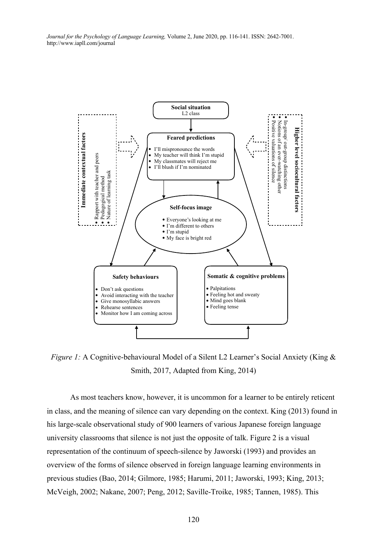

*Figure 1:* A Cognitive-behavioural Model of a Silent L2 Learner's Social Anxiety (King & Smith, 2017, Adapted from King, 2014)

As most teachers know, however, it is uncommon for a learner to be entirely reticent in class, and the meaning of silence can vary depending on the context. King (2013) found in his large-scale observational study of 900 learners of various Japanese foreign language university classrooms that silence is not just the opposite of talk. Figure 2 is a visual representation of the continuum of speech-silence by Jaworski (1993) and provides an overview of the forms of silence observed in foreign language learning environments in previous studies (Bao, 2014; Gilmore, 1985; Harumi, 2011; Jaworski, 1993; King, 2013; McVeigh, 2002; Nakane, 2007; Peng, 2012; Saville-Troike, 1985; Tannen, 1985). This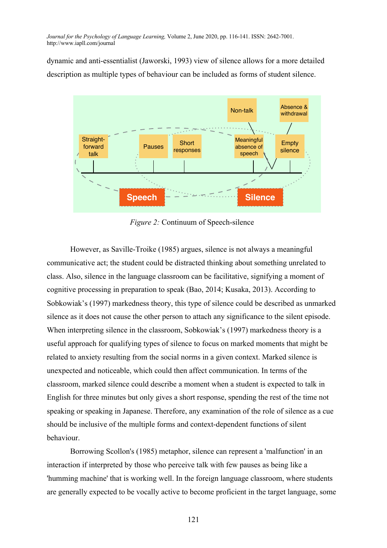dynamic and anti-essentialist (Jaworski, 1993) view of silence allows for a more detailed description as multiple types of behaviour can be included as forms of student silence.   $\ddot{\epsilon}$ 



*Figure 2:* Continuum of Speech-silence (Bao, 2014; Gilmore, 1985; Harumi, 2011; Jaworski, 1993; King, 2013; McVeigh, 2002; Nakane, 2007; Peng, 2012; Saville-Troike, 1985; Tannen, 1985).

However, as Saville-Troike (1985) argues, silence is not always a meaningful communicative act; the student could be distracted thinking about something unrelated to class. Also, silence in the language classroom can be facilitative, signifying a moment of cognitive processing in preparation to speak (Bao, 2014; Kusaka, 2013). According to Sobkowiak's (1997) markedness theory, this type of silence could be described as unmarked silence as it does not cause the other person to attach any significance to the silent episode. When interpreting silence in the classroom, Sobkowiak's (1997) markedness theory is a useful approach for qualifying types of silence to focus on marked moments that might be related to anxiety resulting from the social norms in a given context. Marked silence is unexpected and noticeable, which could then affect communication. In terms of the classroom, marked silence could describe a moment when a student is expected to talk in English for three minutes but only gives a short response, spending the rest of the time not speaking or speaking in Japanese. Therefore, any examination of the role of silence as a cue should be inclusive of the multiple forms and context-dependent functions of silent behaviour.

Borrowing Scollon's (1985) metaphor, silence can represent a 'malfunction' in an interaction if interpreted by those who perceive talk with few pauses as being like a 'humming machine' that is working well. In the foreign language classroom, where students are generally expected to be vocally active to become proficient in the target language, some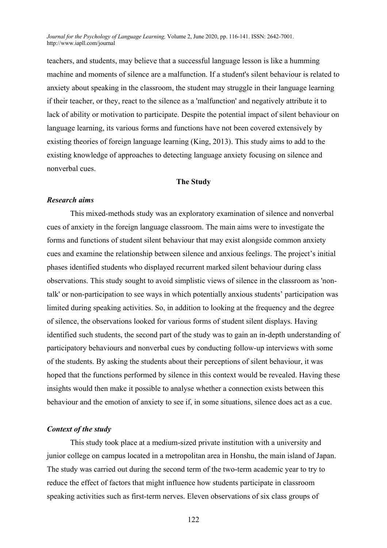teachers, and students, may believe that a successful language lesson is like a humming machine and moments of silence are a malfunction. If a student's silent behaviour is related to anxiety about speaking in the classroom, the student may struggle in their language learning if their teacher, or they, react to the silence as a 'malfunction' and negatively attribute it to lack of ability or motivation to participate. Despite the potential impact of silent behaviour on language learning, its various forms and functions have not been covered extensively by existing theories of foreign language learning (King, 2013). This study aims to add to the existing knowledge of approaches to detecting language anxiety focusing on silence and nonverbal cues.

# **The Study**

#### *Research aims*

This mixed-methods study was an exploratory examination of silence and nonverbal cues of anxiety in the foreign language classroom. The main aims were to investigate the forms and functions of student silent behaviour that may exist alongside common anxiety cues and examine the relationship between silence and anxious feelings. The project's initial phases identified students who displayed recurrent marked silent behaviour during class observations. This study sought to avoid simplistic views of silence in the classroom as 'nontalk' or non-participation to see ways in which potentially anxious students' participation was limited during speaking activities. So, in addition to looking at the frequency and the degree of silence, the observations looked for various forms of student silent displays. Having identified such students, the second part of the study was to gain an in-depth understanding of participatory behaviours and nonverbal cues by conducting follow-up interviews with some of the students. By asking the students about their perceptions of silent behaviour, it was hoped that the functions performed by silence in this context would be revealed. Having these insights would then make it possible to analyse whether a connection exists between this behaviour and the emotion of anxiety to see if, in some situations, silence does act as a cue.

#### *Context of the study*

This study took place at a medium-sized private institution with a university and junior college on campus located in a metropolitan area in Honshu, the main island of Japan. The study was carried out during the second term of the two-term academic year to try to reduce the effect of factors that might influence how students participate in classroom speaking activities such as first-term nerves. Eleven observations of six class groups of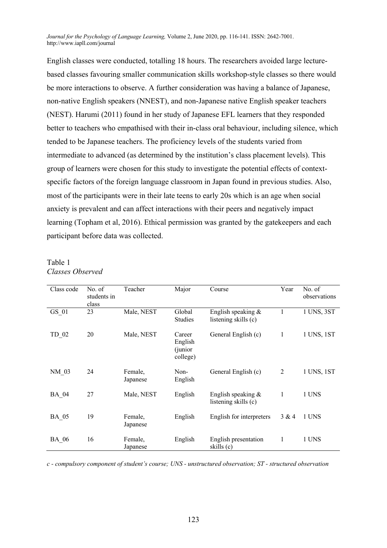English classes were conducted, totalling 18 hours. The researchers avoided large lecturebased classes favouring smaller communication skills workshop-style classes so there would be more interactions to observe. A further consideration was having a balance of Japanese, non-native English speakers (NNEST), and non-Japanese native English speaker teachers (NEST). Harumi (2011) found in her study of Japanese EFL learners that they responded better to teachers who empathised with their in-class oral behaviour, including silence, which tended to be Japanese teachers. The proficiency levels of the students varied from intermediate to advanced (as determined by the institution's class placement levels). This group of learners were chosen for this study to investigate the potential effects of contextspecific factors of the foreign language classroom in Japan found in previous studies. Also, most of the participants were in their late teens to early 20s which is an age when social anxiety is prevalent and can affect interactions with their peers and negatively impact learning (Topham et al, 2016). Ethical permission was granted by the gatekeepers and each participant before data was collected.

## Table 1 *Classes Observed*

| Class code   | No. of<br>students in<br>class | Teacher             | Major                                     | Course                                       | Year           | No. of<br>observations |
|--------------|--------------------------------|---------------------|-------------------------------------------|----------------------------------------------|----------------|------------------------|
| GS 01        | 23                             | Male, NEST          | Global<br><b>Studies</b>                  | English speaking &<br>listening skills (c)   |                | 1 UNS, 3ST             |
| TD 02        | 20                             | Male, NEST          | Career<br>English<br>(junior)<br>college) | General English (c)                          | 1              | 1 UNS, 1ST             |
| NM 03        | 24                             | Female,<br>Japanese | Non-<br>English                           | General English (c)                          | $\overline{2}$ | 1 UNS, 1ST             |
| <b>BA 04</b> | 27                             | Male, NEST          | English                                   | English speaking $&$<br>listening skills (c) | 1              | 1 UNS                  |
| BA 05        | 19                             | Female,<br>Japanese | English                                   | English for interpreters                     | 3 & 4          | 1 UNS                  |
| <b>BA 06</b> | 16                             | Female,<br>Japanese | English                                   | English presentation<br>skills (c)           | 1              | 1 UNS                  |

*c - compulsory component of student's course; UNS - unstructured observation; ST - structured observation*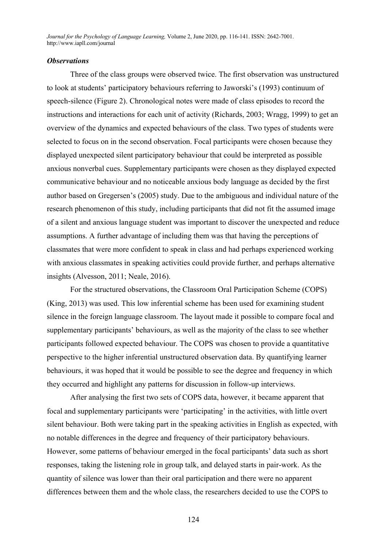# *Observations*

Three of the class groups were observed twice. The first observation was unstructured to look at students' participatory behaviours referring to Jaworski's (1993) continuum of speech-silence (Figure 2). Chronological notes were made of class episodes to record the instructions and interactions for each unit of activity (Richards, 2003; Wragg, 1999) to get an overview of the dynamics and expected behaviours of the class. Two types of students were selected to focus on in the second observation. Focal participants were chosen because they displayed unexpected silent participatory behaviour that could be interpreted as possible anxious nonverbal cues. Supplementary participants were chosen as they displayed expected communicative behaviour and no noticeable anxious body language as decided by the first author based on Gregersen's (2005) study. Due to the ambiguous and individual nature of the research phenomenon of this study, including participants that did not fit the assumed image of a silent and anxious language student was important to discover the unexpected and reduce assumptions. A further advantage of including them was that having the perceptions of classmates that were more confident to speak in class and had perhaps experienced working with anxious classmates in speaking activities could provide further, and perhaps alternative insights (Alvesson, 2011; Neale, 2016).

For the structured observations, the Classroom Oral Participation Scheme (COPS) (King, 2013) was used. This low inferential scheme has been used for examining student silence in the foreign language classroom. The layout made it possible to compare focal and supplementary participants' behaviours, as well as the majority of the class to see whether participants followed expected behaviour. The COPS was chosen to provide a quantitative perspective to the higher inferential unstructured observation data. By quantifying learner behaviours, it was hoped that it would be possible to see the degree and frequency in which they occurred and highlight any patterns for discussion in follow-up interviews.

After analysing the first two sets of COPS data, however, it became apparent that focal and supplementary participants were 'participating' in the activities, with little overt silent behaviour. Both were taking part in the speaking activities in English as expected, with no notable differences in the degree and frequency of their participatory behaviours. However, some patterns of behaviour emerged in the focal participants' data such as short responses, taking the listening role in group talk, and delayed starts in pair-work. As the quantity of silence was lower than their oral participation and there were no apparent differences between them and the whole class, the researchers decided to use the COPS to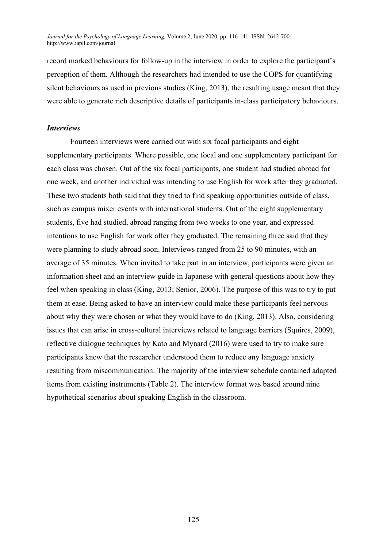record marked behaviours for follow-up in the interview in order to explore the participant's perception of them. Although the researchers had intended to use the COPS for quantifying silent behaviours as used in previous studies (King, 2013), the resulting usage meant that they were able to generate rich descriptive details of participants in-class participatory behaviours.

## *Interviews*

Fourteen interviews were carried out with six focal participants and eight supplementary participants. Where possible, one focal and one supplementary participant for each class was chosen. Out of the six focal participants, one student had studied abroad for one week, and another individual was intending to use English for work after they graduated. These two students both said that they tried to find speaking opportunities outside of class, such as campus mixer events with international students. Out of the eight supplementary students, five had studied, abroad ranging from two weeks to one year, and expressed intentions to use English for work after they graduated. The remaining three said that they were planning to study abroad soon. Interviews ranged from 25 to 90 minutes, with an average of 35 minutes. When invited to take part in an interview, participants were given an information sheet and an interview guide in Japanese with general questions about how they feel when speaking in class (King, 2013; Senior, 2006). The purpose of this was to try to put them at ease. Being asked to have an interview could make these participants feel nervous about why they were chosen or what they would have to do (King, 2013). Also, considering issues that can arise in cross-cultural interviews related to language barriers (Squires, 2009), reflective dialogue techniques by Kato and Mynard (2016) were used to try to make sure participants knew that the researcher understood them to reduce any language anxiety resulting from miscommunication. The majority of the interview schedule contained adapted items from existing instruments (Table 2). The interview format was based around nine hypothetical scenarios about speaking English in the classroom.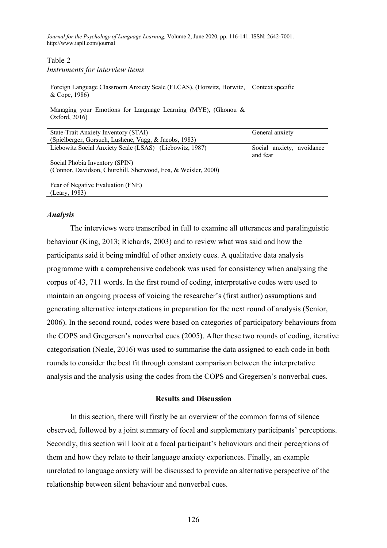Table 2

*Instruments for interview items*

Foreign Language Classroom Anxiety Scale (FLCAS), (Horwitz, Horwitz, Context specific & Cope, 1986)

Managing your Emotions for Language Learning (MYE), (Gkonou & Oxford, 2016)

| State-Trait Anxiety Inventory (STAI)                          | General anxiety                       |  |
|---------------------------------------------------------------|---------------------------------------|--|
| (Spielberger, Gorsuch, Lushene, Vagg, & Jacobs, 1983)         |                                       |  |
| Liebowitz Social Anxiety Scale (LSAS) (Liebowitz, 1987)       | Social anxiety, avoidance<br>and fear |  |
| Social Phobia Inventory (SPIN)                                |                                       |  |
| (Connor, Davidson, Churchill, Sherwood, Foa, & Weisler, 2000) |                                       |  |
| Fear of Negative Evaluation (FNE)                             |                                       |  |
| (Leary, 1983)                                                 |                                       |  |

#### *Analysis*

The interviews were transcribed in full to examine all utterances and paralinguistic behaviour (King, 2013; Richards, 2003) and to review what was said and how the participants said it being mindful of other anxiety cues. A qualitative data analysis programme with a comprehensive codebook was used for consistency when analysing the corpus of 43, 711 words. In the first round of coding, interpretative codes were used to maintain an ongoing process of voicing the researcher's (first author) assumptions and generating alternative interpretations in preparation for the next round of analysis (Senior, 2006). In the second round, codes were based on categories of participatory behaviours from the COPS and Gregersen's nonverbal cues (2005). After these two rounds of coding, iterative categorisation (Neale, 2016) was used to summarise the data assigned to each code in both rounds to consider the best fit through constant comparison between the interpretative analysis and the analysis using the codes from the COPS and Gregersen's nonverbal cues.

#### **Results and Discussion**

In this section, there will firstly be an overview of the common forms of silence observed, followed by a joint summary of focal and supplementary participants' perceptions. Secondly, this section will look at a focal participant's behaviours and their perceptions of them and how they relate to their language anxiety experiences. Finally, an example unrelated to language anxiety will be discussed to provide an alternative perspective of the relationship between silent behaviour and nonverbal cues.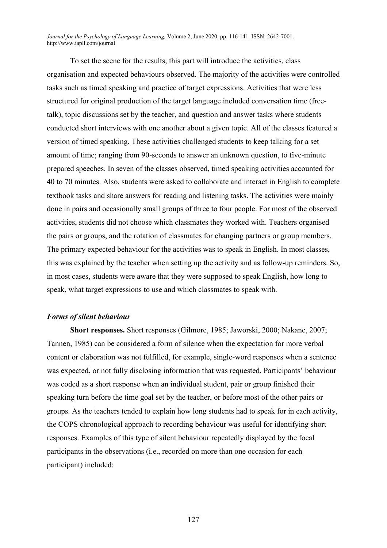To set the scene for the results, this part will introduce the activities, class organisation and expected behaviours observed. The majority of the activities were controlled tasks such as timed speaking and practice of target expressions. Activities that were less structured for original production of the target language included conversation time (freetalk), topic discussions set by the teacher, and question and answer tasks where students conducted short interviews with one another about a given topic. All of the classes featured a version of timed speaking. These activities challenged students to keep talking for a set amount of time; ranging from 90-seconds to answer an unknown question, to five-minute prepared speeches. In seven of the classes observed, timed speaking activities accounted for 40 to 70 minutes. Also, students were asked to collaborate and interact in English to complete textbook tasks and share answers for reading and listening tasks. The activities were mainly done in pairs and occasionally small groups of three to four people. For most of the observed activities, students did not choose which classmates they worked with. Teachers organised the pairs or groups, and the rotation of classmates for changing partners or group members. The primary expected behaviour for the activities was to speak in English. In most classes, this was explained by the teacher when setting up the activity and as follow-up reminders. So, in most cases, students were aware that they were supposed to speak English, how long to speak, what target expressions to use and which classmates to speak with.

### *Forms of silent behaviour*

**Short responses.** Short responses (Gilmore, 1985; Jaworski, 2000; Nakane, 2007; Tannen, 1985) can be considered a form of silence when the expectation for more verbal content or elaboration was not fulfilled, for example, single-word responses when a sentence was expected, or not fully disclosing information that was requested. Participants' behaviour was coded as a short response when an individual student, pair or group finished their speaking turn before the time goal set by the teacher, or before most of the other pairs or groups. As the teachers tended to explain how long students had to speak for in each activity, the COPS chronological approach to recording behaviour was useful for identifying short responses. Examples of this type of silent behaviour repeatedly displayed by the focal participants in the observations (i.e., recorded on more than one occasion for each participant) included: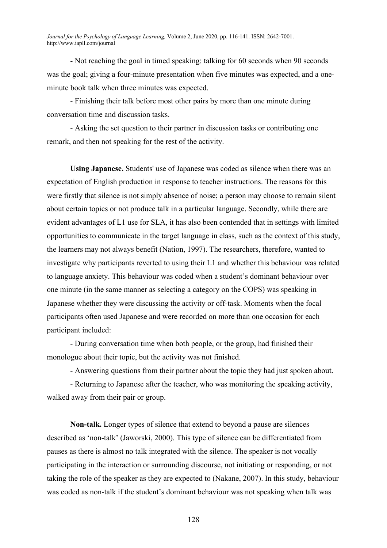- Not reaching the goal in timed speaking: talking for 60 seconds when 90 seconds was the goal; giving a four-minute presentation when five minutes was expected, and a oneminute book talk when three minutes was expected.

- Finishing their talk before most other pairs by more than one minute during conversation time and discussion tasks.

- Asking the set question to their partner in discussion tasks or contributing one remark, and then not speaking for the rest of the activity.

**Using Japanese.** Students' use of Japanese was coded as silence when there was an expectation of English production in response to teacher instructions. The reasons for this were firstly that silence is not simply absence of noise; a person may choose to remain silent about certain topics or not produce talk in a particular language. Secondly, while there are evident advantages of L1 use for SLA, it has also been contended that in settings with limited opportunities to communicate in the target language in class, such as the context of this study, the learners may not always benefit (Nation, 1997). The researchers, therefore, wanted to investigate why participants reverted to using their L1 and whether this behaviour was related to language anxiety. This behaviour was coded when a student's dominant behaviour over one minute (in the same manner as selecting a category on the COPS) was speaking in Japanese whether they were discussing the activity or off-task. Moments when the focal participants often used Japanese and were recorded on more than one occasion for each participant included:

- During conversation time when both people, or the group, had finished their monologue about their topic, but the activity was not finished.

- Answering questions from their partner about the topic they had just spoken about.

- Returning to Japanese after the teacher, who was monitoring the speaking activity, walked away from their pair or group.

**Non-talk.** Longer types of silence that extend to beyond a pause are silences described as 'non-talk' (Jaworski, 2000). This type of silence can be differentiated from pauses as there is almost no talk integrated with the silence. The speaker is not vocally participating in the interaction or surrounding discourse, not initiating or responding, or not taking the role of the speaker as they are expected to (Nakane, 2007). In this study, behaviour was coded as non-talk if the student's dominant behaviour was not speaking when talk was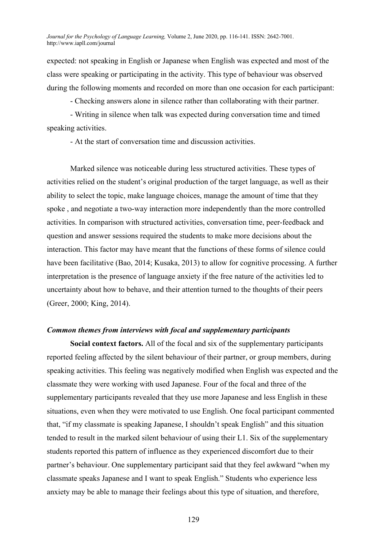expected: not speaking in English or Japanese when English was expected and most of the class were speaking or participating in the activity. This type of behaviour was observed during the following moments and recorded on more than one occasion for each participant:

- Checking answers alone in silence rather than collaborating with their partner.

- Writing in silence when talk was expected during conversation time and timed speaking activities.

- At the start of conversation time and discussion activities.

Marked silence was noticeable during less structured activities. These types of activities relied on the student's original production of the target language, as well as their ability to select the topic, make language choices, manage the amount of time that they spoke , and negotiate a two-way interaction more independently than the more controlled activities. In comparison with structured activities, conversation time, peer-feedback and question and answer sessions required the students to make more decisions about the interaction. This factor may have meant that the functions of these forms of silence could have been facilitative (Bao, 2014; Kusaka, 2013) to allow for cognitive processing. A further interpretation is the presence of language anxiety if the free nature of the activities led to uncertainty about how to behave, and their attention turned to the thoughts of their peers (Greer, 2000; King, 2014).

### *Common themes from interviews with focal and supplementary participants*

**Social context factors.** All of the focal and six of the supplementary participants reported feeling affected by the silent behaviour of their partner, or group members, during speaking activities. This feeling was negatively modified when English was expected and the classmate they were working with used Japanese. Four of the focal and three of the supplementary participants revealed that they use more Japanese and less English in these situations, even when they were motivated to use English. One focal participant commented that, "if my classmate is speaking Japanese, I shouldn't speak English" and this situation tended to result in the marked silent behaviour of using their L1. Six of the supplementary students reported this pattern of influence as they experienced discomfort due to their partner's behaviour. One supplementary participant said that they feel awkward "when my classmate speaks Japanese and I want to speak English." Students who experience less anxiety may be able to manage their feelings about this type of situation, and therefore,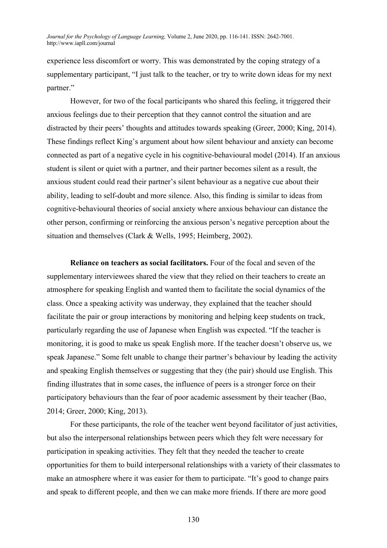experience less discomfort or worry. This was demonstrated by the coping strategy of a supplementary participant, "I just talk to the teacher, or try to write down ideas for my next partner."

However, for two of the focal participants who shared this feeling, it triggered their anxious feelings due to their perception that they cannot control the situation and are distracted by their peers' thoughts and attitudes towards speaking (Greer, 2000; King, 2014). These findings reflect King's argument about how silent behaviour and anxiety can become connected as part of a negative cycle in his cognitive-behavioural model (2014). If an anxious student is silent or quiet with a partner, and their partner becomes silent as a result, the anxious student could read their partner's silent behaviour as a negative cue about their ability, leading to self-doubt and more silence. Also, this finding is similar to ideas from cognitive-behavioural theories of social anxiety where anxious behaviour can distance the other person, confirming or reinforcing the anxious person's negative perception about the situation and themselves (Clark & Wells, 1995; Heimberg, 2002).

**Reliance on teachers as social facilitators.** Four of the focal and seven of the supplementary interviewees shared the view that they relied on their teachers to create an atmosphere for speaking English and wanted them to facilitate the social dynamics of the class. Once a speaking activity was underway, they explained that the teacher should facilitate the pair or group interactions by monitoring and helping keep students on track, particularly regarding the use of Japanese when English was expected. "If the teacher is monitoring, it is good to make us speak English more. If the teacher doesn't observe us, we speak Japanese." Some felt unable to change their partner's behaviour by leading the activity and speaking English themselves or suggesting that they (the pair) should use English. This finding illustrates that in some cases, the influence of peers is a stronger force on their participatory behaviours than the fear of poor academic assessment by their teacher (Bao, 2014; Greer, 2000; King, 2013).

For these participants, the role of the teacher went beyond facilitator of just activities, but also the interpersonal relationships between peers which they felt were necessary for participation in speaking activities. They felt that they needed the teacher to create opportunities for them to build interpersonal relationships with a variety of their classmates to make an atmosphere where it was easier for them to participate. "It's good to change pairs and speak to different people, and then we can make more friends. If there are more good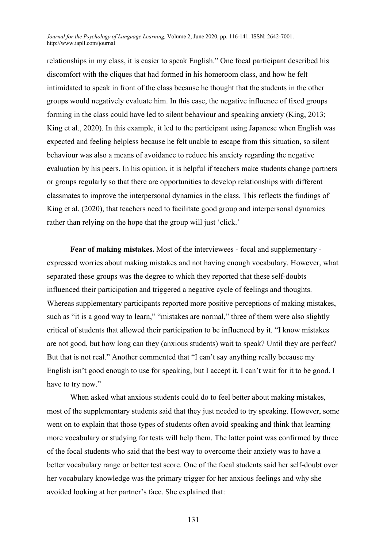relationships in my class, it is easier to speak English." One focal participant described his discomfort with the cliques that had formed in his homeroom class, and how he felt intimidated to speak in front of the class because he thought that the students in the other groups would negatively evaluate him. In this case, the negative influence of fixed groups forming in the class could have led to silent behaviour and speaking anxiety (King, 2013; King et al., 2020). In this example, it led to the participant using Japanese when English was expected and feeling helpless because he felt unable to escape from this situation, so silent behaviour was also a means of avoidance to reduce his anxiety regarding the negative evaluation by his peers. In his opinion, it is helpful if teachers make students change partners or groups regularly so that there are opportunities to develop relationships with different classmates to improve the interpersonal dynamics in the class. This reflects the findings of King et al. (2020), that teachers need to facilitate good group and interpersonal dynamics rather than relying on the hope that the group will just 'click.'

**Fear of making mistakes.** Most of the interviewees - focal and supplementary expressed worries about making mistakes and not having enough vocabulary. However, what separated these groups was the degree to which they reported that these self-doubts influenced their participation and triggered a negative cycle of feelings and thoughts. Whereas supplementary participants reported more positive perceptions of making mistakes, such as "it is a good way to learn," "mistakes are normal," three of them were also slightly critical of students that allowed their participation to be influenced by it. "I know mistakes are not good, but how long can they (anxious students) wait to speak? Until they are perfect? But that is not real." Another commented that "I can't say anything really because my English isn't good enough to use for speaking, but I accept it. I can't wait for it to be good. I have to try now."

When asked what anxious students could do to feel better about making mistakes, most of the supplementary students said that they just needed to try speaking. However, some went on to explain that those types of students often avoid speaking and think that learning more vocabulary or studying for tests will help them. The latter point was confirmed by three of the focal students who said that the best way to overcome their anxiety was to have a better vocabulary range or better test score. One of the focal students said her self-doubt over her vocabulary knowledge was the primary trigger for her anxious feelings and why she avoided looking at her partner's face. She explained that: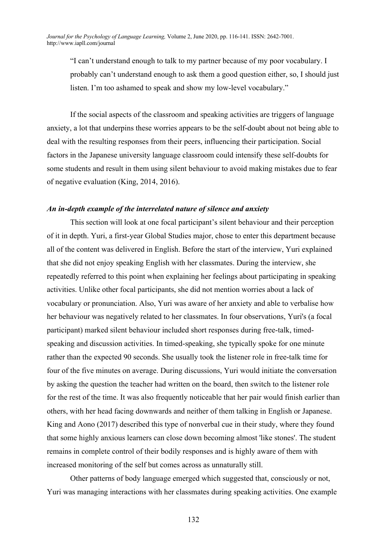"I can't understand enough to talk to my partner because of my poor vocabulary. I probably can't understand enough to ask them a good question either, so, I should just listen. I'm too ashamed to speak and show my low-level vocabulary."

If the social aspects of the classroom and speaking activities are triggers of language anxiety, a lot that underpins these worries appears to be the self-doubt about not being able to deal with the resulting responses from their peers, influencing their participation. Social factors in the Japanese university language classroom could intensify these self-doubts for some students and result in them using silent behaviour to avoid making mistakes due to fear of negative evaluation (King, 2014, 2016).

### *An in-depth example of the interrelated nature of silence and anxiety*

This section will look at one focal participant's silent behaviour and their perception of it in depth. Yuri, a first-year Global Studies major, chose to enter this department because all of the content was delivered in English. Before the start of the interview, Yuri explained that she did not enjoy speaking English with her classmates. During the interview, she repeatedly referred to this point when explaining her feelings about participating in speaking activities. Unlike other focal participants, she did not mention worries about a lack of vocabulary or pronunciation. Also, Yuri was aware of her anxiety and able to verbalise how her behaviour was negatively related to her classmates. In four observations, Yuri's (a focal participant) marked silent behaviour included short responses during free-talk, timedspeaking and discussion activities. In timed-speaking, she typically spoke for one minute rather than the expected 90 seconds. She usually took the listener role in free-talk time for four of the five minutes on average. During discussions, Yuri would initiate the conversation by asking the question the teacher had written on the board, then switch to the listener role for the rest of the time. It was also frequently noticeable that her pair would finish earlier than others, with her head facing downwards and neither of them talking in English or Japanese. King and Aono (2017) described this type of nonverbal cue in their study, where they found that some highly anxious learners can close down becoming almost 'like stones'. The student remains in complete control of their bodily responses and is highly aware of them with increased monitoring of the self but comes across as unnaturally still.

Other patterns of body language emerged which suggested that, consciously or not, Yuri was managing interactions with her classmates during speaking activities. One example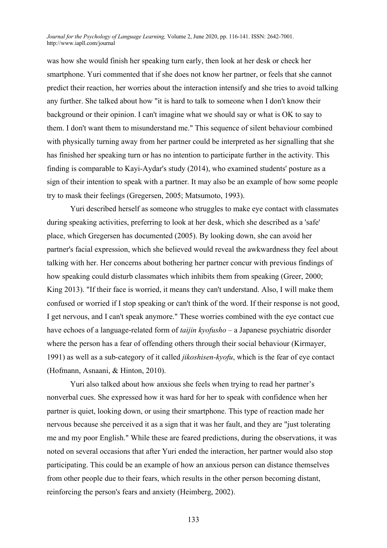was how she would finish her speaking turn early, then look at her desk or check her smartphone. Yuri commented that if she does not know her partner, or feels that she cannot predict their reaction, her worries about the interaction intensify and she tries to avoid talking any further. She talked about how "it is hard to talk to someone when I don't know their background or their opinion. I can't imagine what we should say or what is OK to say to them. I don't want them to misunderstand me." This sequence of silent behaviour combined with physically turning away from her partner could be interpreted as her signalling that she has finished her speaking turn or has no intention to participate further in the activity. This finding is comparable to Kayi-Aydar's study (2014), who examined students' posture as a sign of their intention to speak with a partner. It may also be an example of how some people try to mask their feelings (Gregersen, 2005; Matsumoto, 1993).

Yuri described herself as someone who struggles to make eye contact with classmates during speaking activities, preferring to look at her desk, which she described as a 'safe' place, which Gregersen has documented (2005). By looking down, she can avoid her partner's facial expression, which she believed would reveal the awkwardness they feel about talking with her. Her concerns about bothering her partner concur with previous findings of how speaking could disturb classmates which inhibits them from speaking (Greer, 2000; King 2013). "If their face is worried, it means they can't understand. Also, I will make them confused or worried if I stop speaking or can't think of the word. If their response is not good, I get nervous, and I can't speak anymore." These worries combined with the eye contact cue have echoes of a language-related form of *taijin kyofusho* – a Japanese psychiatric disorder where the person has a fear of offending others through their social behaviour (Kirmayer, 1991) as well as a sub-category of it called *jikoshisen-kyofu*, which is the fear of eye contact (Hofmann, Asnaani, & Hinton, 2010).

Yuri also talked about how anxious she feels when trying to read her partner's nonverbal cues. She expressed how it was hard for her to speak with confidence when her partner is quiet, looking down, or using their smartphone. This type of reaction made her nervous because she perceived it as a sign that it was her fault, and they are "just tolerating me and my poor English." While these are feared predictions, during the observations, it was noted on several occasions that after Yuri ended the interaction, her partner would also stop participating. This could be an example of how an anxious person can distance themselves from other people due to their fears, which results in the other person becoming distant, reinforcing the person's fears and anxiety (Heimberg, 2002).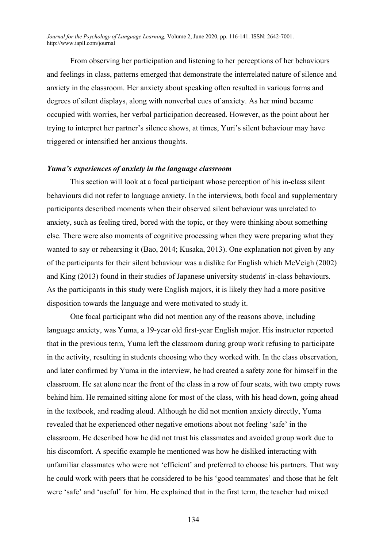From observing her participation and listening to her perceptions of her behaviours and feelings in class, patterns emerged that demonstrate the interrelated nature of silence and anxiety in the classroom. Her anxiety about speaking often resulted in various forms and degrees of silent displays, along with nonverbal cues of anxiety. As her mind became occupied with worries, her verbal participation decreased. However, as the point about her trying to interpret her partner's silence shows, at times, Yuri's silent behaviour may have triggered or intensified her anxious thoughts.

## *Yuma's experiences of anxiety in the language classroom*

This section will look at a focal participant whose perception of his in-class silent behaviours did not refer to language anxiety. In the interviews, both focal and supplementary participants described moments when their observed silent behaviour was unrelated to anxiety, such as feeling tired, bored with the topic, or they were thinking about something else. There were also moments of cognitive processing when they were preparing what they wanted to say or rehearsing it (Bao, 2014; Kusaka, 2013). One explanation not given by any of the participants for their silent behaviour was a dislike for English which McVeigh (2002) and King (2013) found in their studies of Japanese university students' in-class behaviours. As the participants in this study were English majors, it is likely they had a more positive disposition towards the language and were motivated to study it.

One focal participant who did not mention any of the reasons above, including language anxiety, was Yuma, a 19-year old first-year English major. His instructor reported that in the previous term, Yuma left the classroom during group work refusing to participate in the activity, resulting in students choosing who they worked with. In the class observation, and later confirmed by Yuma in the interview, he had created a safety zone for himself in the classroom. He sat alone near the front of the class in a row of four seats, with two empty rows behind him. He remained sitting alone for most of the class, with his head down, going ahead in the textbook, and reading aloud. Although he did not mention anxiety directly, Yuma revealed that he experienced other negative emotions about not feeling 'safe' in the classroom. He described how he did not trust his classmates and avoided group work due to his discomfort. A specific example he mentioned was how he disliked interacting with unfamiliar classmates who were not 'efficient' and preferred to choose his partners. That way he could work with peers that he considered to be his 'good teammates' and those that he felt were 'safe' and 'useful' for him. He explained that in the first term, the teacher had mixed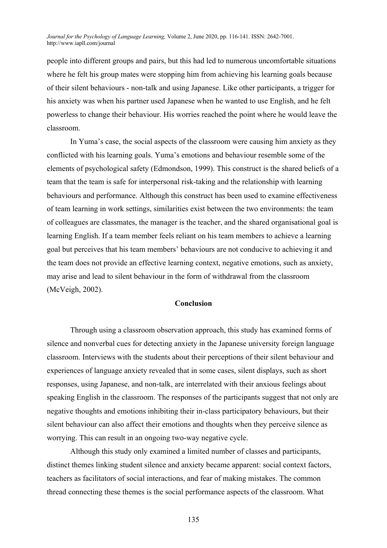people into different groups and pairs, but this had led to numerous uncomfortable situations where he felt his group mates were stopping him from achieving his learning goals because of their silent behaviours - non-talk and using Japanese. Like other participants, a trigger for his anxiety was when his partner used Japanese when he wanted to use English, and he felt powerless to change their behaviour. His worries reached the point where he would leave the classroom.

In Yuma's case, the social aspects of the classroom were causing him anxiety as they conflicted with his learning goals. Yuma's emotions and behaviour resemble some of the elements of psychological safety (Edmondson, 1999). This construct is the shared beliefs of a team that the team is safe for interpersonal risk-taking and the relationship with learning behaviours and performance. Although this construct has been used to examine effectiveness of team learning in work settings, similarities exist between the two environments: the team of colleagues are classmates, the manager is the teacher, and the shared organisational goal is learning English. If a team member feels reliant on his team members to achieve a learning goal but perceives that his team members' behaviours are not conducive to achieving it and the team does not provide an effective learning context, negative emotions, such as anxiety, may arise and lead to silent behaviour in the form of withdrawal from the classroom (McVeigh, 2002).

# **Conclusion**

Through using a classroom observation approach, this study has examined forms of silence and nonverbal cues for detecting anxiety in the Japanese university foreign language classroom. Interviews with the students about their perceptions of their silent behaviour and experiences of language anxiety revealed that in some cases, silent displays, such as short responses, using Japanese, and non-talk, are interrelated with their anxious feelings about speaking English in the classroom. The responses of the participants suggest that not only are negative thoughts and emotions inhibiting their in-class participatory behaviours, but their silent behaviour can also affect their emotions and thoughts when they perceive silence as worrying. This can result in an ongoing two-way negative cycle.

Although this study only examined a limited number of classes and participants, distinct themes linking student silence and anxiety became apparent: social context factors, teachers as facilitators of social interactions, and fear of making mistakes. The common thread connecting these themes is the social performance aspects of the classroom. What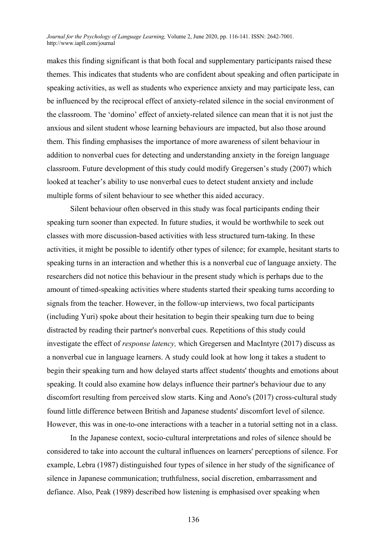makes this finding significant is that both focal and supplementary participants raised these themes. This indicates that students who are confident about speaking and often participate in speaking activities, as well as students who experience anxiety and may participate less, can be influenced by the reciprocal effect of anxiety-related silence in the social environment of the classroom. The 'domino' effect of anxiety-related silence can mean that it is not just the anxious and silent student whose learning behaviours are impacted, but also those around them. This finding emphasises the importance of more awareness of silent behaviour in addition to nonverbal cues for detecting and understanding anxiety in the foreign language classroom. Future development of this study could modify Gregersen's study (2007) which looked at teacher's ability to use nonverbal cues to detect student anxiety and include multiple forms of silent behaviour to see whether this aided accuracy.

Silent behaviour often observed in this study was focal participants ending their speaking turn sooner than expected. In future studies, it would be worthwhile to seek out classes with more discussion-based activities with less structured turn-taking. In these activities, it might be possible to identify other types of silence; for example, hesitant starts to speaking turns in an interaction and whether this is a nonverbal cue of language anxiety. The researchers did not notice this behaviour in the present study which is perhaps due to the amount of timed-speaking activities where students started their speaking turns according to signals from the teacher. However, in the follow-up interviews, two focal participants (including Yuri) spoke about their hesitation to begin their speaking turn due to being distracted by reading their partner's nonverbal cues. Repetitions of this study could investigate the effect of *response latency,* which Gregersen and MacIntyre (2017) discuss as a nonverbal cue in language learners. A study could look at how long it takes a student to begin their speaking turn and how delayed starts affect students' thoughts and emotions about speaking. It could also examine how delays influence their partner's behaviour due to any discomfort resulting from perceived slow starts. King and Aono's (2017) cross-cultural study found little difference between British and Japanese students' discomfort level of silence. However, this was in one-to-one interactions with a teacher in a tutorial setting not in a class.

In the Japanese context, socio-cultural interpretations and roles of silence should be considered to take into account the cultural influences on learners' perceptions of silence. For example, Lebra (1987) distinguished four types of silence in her study of the significance of silence in Japanese communication; truthfulness, social discretion, embarrassment and defiance. Also, Peak (1989) described how listening is emphasised over speaking when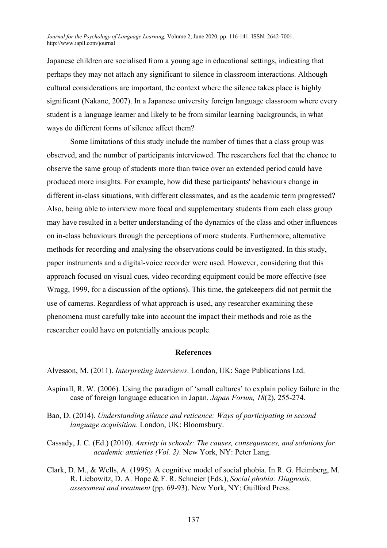Japanese children are socialised from a young age in educational settings, indicating that perhaps they may not attach any significant to silence in classroom interactions. Although cultural considerations are important, the context where the silence takes place is highly significant (Nakane, 2007). In a Japanese university foreign language classroom where every student is a language learner and likely to be from similar learning backgrounds, in what ways do different forms of silence affect them?

Some limitations of this study include the number of times that a class group was observed, and the number of participants interviewed. The researchers feel that the chance to observe the same group of students more than twice over an extended period could have produced more insights. For example, how did these participants' behaviours change in different in-class situations, with different classmates, and as the academic term progressed? Also, being able to interview more focal and supplementary students from each class group may have resulted in a better understanding of the dynamics of the class and other influences on in-class behaviours through the perceptions of more students. Furthermore, alternative methods for recording and analysing the observations could be investigated. In this study, paper instruments and a digital-voice recorder were used. However, considering that this approach focused on visual cues, video recording equipment could be more effective (see Wragg, 1999, for a discussion of the options). This time, the gatekeepers did not permit the use of cameras. Regardless of what approach is used, any researcher examining these phenomena must carefully take into account the impact their methods and role as the researcher could have on potentially anxious people.

### **References**

Alvesson, M. (2011). *Interpreting interviews*. London, UK: Sage Publications Ltd.

- Aspinall, R. W. (2006). Using the paradigm of 'small cultures' to explain policy failure in the case of foreign language education in Japan. *Japan Forum, 18*(2), 255-274.
- Bao, D. (2014). *Understanding silence and reticence: Ways of participating in second language acquisition*. London, UK: Bloomsbury.
- Cassady, J. C. (Ed.) (2010). *Anxiety in schools: The causes, consequences, and solutions for academic anxieties (Vol. 2)*. New York, NY: Peter Lang.
- Clark, D. M., & Wells, A. (1995). A cognitive model of social phobia. In R. G. Heimberg, M. R. Liebowitz, D. A. Hope & F. R. Schneier (Eds.), *Social phobia: Diagnosis, assessment and treatment* (pp. 69-93). New York, NY: Guilford Press.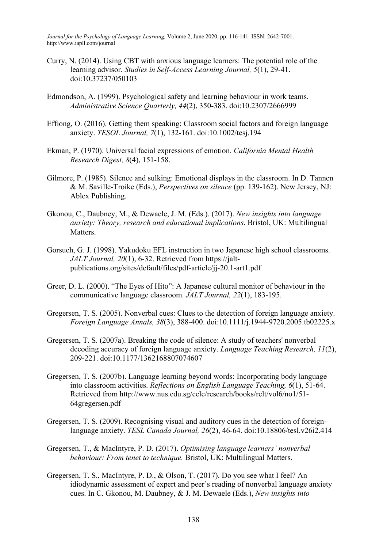- Curry, N. (2014). Using CBT with anxious language learners: The potential role of the learning advisor. *Studies in Self-Access Learning Journal, 5*(1), 29-41. doi:10.37237/050103
- Edmondson, A. (1999). Psychological safety and learning behaviour in work teams. *Administrative Science Quarterly, 44*(2), 350-383. doi:10.2307/2666999
- Effiong, O. (2016). Getting them speaking: Classroom social factors and foreign language anxiety. *TESOL Journal, 7*(1), 132-161. doi:10.1002/tesj.194
- Ekman, P. (1970). Universal facial expressions of emotion. *California Mental Health Research Digest, 8*(4), 151-158.
- Gilmore, P. (1985). Silence and sulking: Emotional displays in the classroom. In D. Tannen & M. Saville-Troike (Eds.), *Perspectives on silence* (pp. 139-162). New Jersey, NJ: Ablex Publishing.
- Gkonou, C., Daubney, M., & Dewaele, J. M. (Eds.). (2017). *New insights into language anxiety: Theory, research and educational implications*. Bristol, UK: Multilingual Matters.
- Gorsuch, G. J. (1998). Yakudoku EFL instruction in two Japanese high school classrooms. *JALT Journal, 20*(1), 6-32. Retrieved from https://jaltpublications.org/sites/default/files/pdf-article/jj-20.1-art1.pdf
- Greer, D. L. (2000). "The Eyes of Hito": A Japanese cultural monitor of behaviour in the communicative language classroom. *JALT Journal, 22*(1), 183-195.
- Gregersen, T. S. (2005). Nonverbal cues: Clues to the detection of foreign language anxiety. *Foreign Language Annals, 38*(3), 388-400. doi:10.1111/j.1944-9720.2005.tb02225.x
- Gregersen, T. S. (2007a). Breaking the code of silence: A study of teachers' nonverbal decoding accuracy of foreign language anxiety. *Language Teaching Research, 11*(2), 209-221. doi:10.1177/1362168807074607
- Gregersen, T. S. (2007b). Language learning beyond words: Incorporating body language into classroom activities. *Reflections on English Language Teaching, 6*(1), 51-64. Retrieved from http://www.nus.edu.sg/celc/research/books/relt/vol6/no1/51- 64gregersen.pdf
- Gregersen, T. S. (2009). Recognising visual and auditory cues in the detection of foreignlanguage anxiety. *TESL Canada Journal, 26*(2), 46-64. doi:10.18806/tesl.v26i2.414
- Gregersen, T., & MacIntyre, P. D. (2017). *Optimising language learners' nonverbal behaviour: From tenet to technique.* Bristol, UK: Multilingual Matters.
- Gregersen, T. S., MacIntyre, P. D., & Olson, T. (2017). Do you see what I feel? An idiodynamic assessment of expert and peer's reading of nonverbal language anxiety cues. In C. Gkonou, M. Daubney, & J. M. Dewaele (Eds.), *New insights into*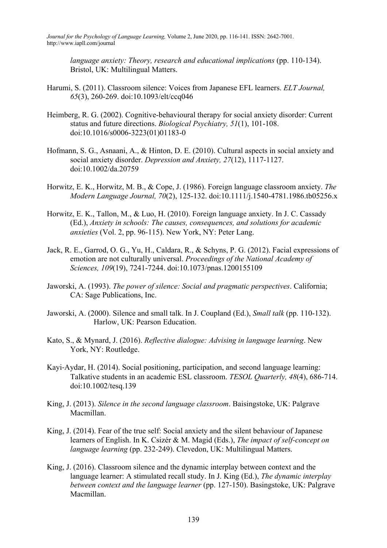*language anxiety: Theory, research and educational implications* (pp. 110-134). Bristol, UK: Multilingual Matters.

- Harumi, S. (2011). Classroom silence: Voices from Japanese EFL learners. *ELT Journal, 65*(3), 260-269. doi:10.1093/elt/ccq046
- Heimberg, R. G. (2002). Cognitive-behavioural therapy for social anxiety disorder: Current status and future directions. *Biological Psychiatry, 51*(1), 101-108. doi:10.1016/s0006-3223(01)01183-0
- Hofmann, S. G., Asnaani, A., & Hinton, D. E. (2010). Cultural aspects in social anxiety and social anxiety disorder. *Depression and Anxiety, 27*(12), 1117-1127. doi:10.1002/da.20759
- Horwitz, E. K., Horwitz, M. B., & Cope, J. (1986). Foreign language classroom anxiety. *The Modern Language Journal, 70*(2), 125-132. doi:10.1111/j.1540-4781.1986.tb05256.x
- Horwitz, E. K., Tallon, M., & Luo, H. (2010). Foreign language anxiety. In J. C. Cassady (Ed.), *Anxiety in schools: The causes, consequences, and solutions for academic anxieties* (Vol. 2, pp. 96-115). New York, NY: Peter Lang.
- Jack, R. E., Garrod, O. G., Yu, H., Caldara, R., & Schyns, P. G. (2012). Facial expressions of emotion are not culturally universal. *Proceedings of the National Academy of Sciences, 109*(19), 7241-7244. doi:10.1073/pnas.1200155109
- Jaworski, A. (1993). *The power of silence: Social and pragmatic perspectives*. California; CA: Sage Publications, Inc.
- Jaworski, A. (2000). Silence and small talk. In J. Coupland (Ed.), *Small talk* (pp. 110-132). Harlow, UK: Pearson Education.
- Kato, S., & Mynard, J. (2016). *Reflective dialogue: Advising in language learning*. New York, NY: Routledge.
- Kayi-Aydar, H. (2014). Social positioning, participation, and second language learning: Talkative students in an academic ESL classroom. *TESOL Quarterly, 48*(4), 686-714. doi:10.1002/tesq.139
- King, J. (2013). *Silence in the second language classroom*. Baisingstoke, UK: Palgrave Macmillan.
- King, J. (2014). Fear of the true self: Social anxiety and the silent behaviour of Japanese learners of English. In K. Csizér & M. Magid (Eds.), *The impact of self-concept on language learning* (pp. 232-249). Clevedon, UK: Multilingual Matters.
- King, J. (2016). Classroom silence and the dynamic interplay between context and the language learner: A stimulated recall study. In J. King (Ed.), *The dynamic interplay between context and the language learner* (pp. 127-150). Basingstoke, UK: Palgrave Macmillan.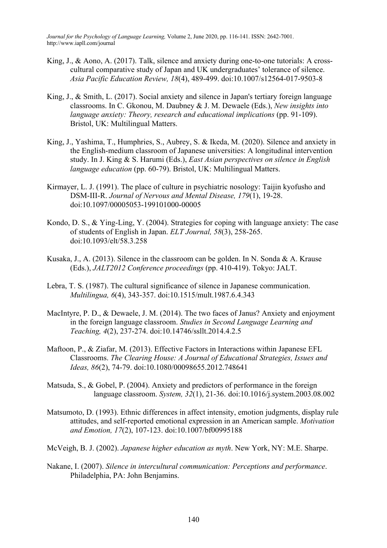- King, J., & Aono, A. (2017). Talk, silence and anxiety during one-to-one tutorials: A crosscultural comparative study of Japan and UK undergraduates' tolerance of silence. *Asia Pacific Education Review, 18*(4), 489-499. doi:10.1007/s12564-017-9503-8
- King, J., & Smith, L. (2017). Social anxiety and silence in Japan's tertiary foreign language classrooms. In C. Gkonou, M. Daubney & J. M. Dewaele (Eds.), *New insights into language anxiety: Theory, research and educational implications* (pp. 91-109). Bristol, UK: Multilingual Matters.
- King, J., Yashima, T., Humphries, S., Aubrey, S. & Ikeda, M. (2020). Silence and anxiety in the English-medium classroom of Japanese universities: A longitudinal intervention study. In J. King & S. Harumi (Eds.), *East Asian perspectives on silence in English language education* (pp. 60-79). Bristol, UK: Multilingual Matters.
- Kirmayer, L. J. (1991). The place of culture in psychiatric nosology: Taijin kyofusho and DSM-III-R. *Journal of Nervous and Mental Disease, 179*(1), 19-28. doi:10.1097/00005053-199101000-00005
- Kondo, D. S., & Ying-Ling, Y. (2004). Strategies for coping with language anxiety: The case of students of English in Japan. *ELT Journal, 58*(3), 258-265. doi:10.1093/elt/58.3.258
- Kusaka, J., A. (2013). Silence in the classroom can be golden. In N. Sonda & A. Krause (Eds.), *JALT2012 Conference proceedings* (pp. 410-419). Tokyo: JALT.
- Lebra, T. S. (1987). The cultural significance of silence in Japanese communication. *Multilingua, 6*(4), 343-357. doi:10.1515/mult.1987.6.4.343
- MacIntyre, P. D., & Dewaele, J. M. (2014). The two faces of Janus? Anxiety and enjoyment in the foreign language classroom. *Studies in Second Language Learning and Teaching, 4*(2), 237-274. doi:10.14746/ssllt.2014.4.2.5
- Maftoon, P., & Ziafar, M. (2013). Effective Factors in Interactions within Japanese EFL Classrooms. *The Clearing House: A Journal of Educational Strategies, Issues and Ideas, 86*(2), 74-79. doi:10.1080/00098655.2012.748641
- Matsuda, S., & Gobel, P. (2004). Anxiety and predictors of performance in the foreign language classroom. *System, 32*(1), 21-36. doi:10.1016/j.system.2003.08.002
- Matsumoto, D. (1993). Ethnic differences in affect intensity, emotion judgments, display rule attitudes, and self-reported emotional expression in an American sample. *Motivation and Emotion, 17*(2), 107-123. doi:10.1007/bf00995188
- McVeigh, B. J. (2002). *Japanese higher education as myth*. New York, NY: M.E. Sharpe.
- Nakane, I. (2007). *Silence in intercultural communication: Perceptions and performance*. Philadelphia, PA: John Benjamins.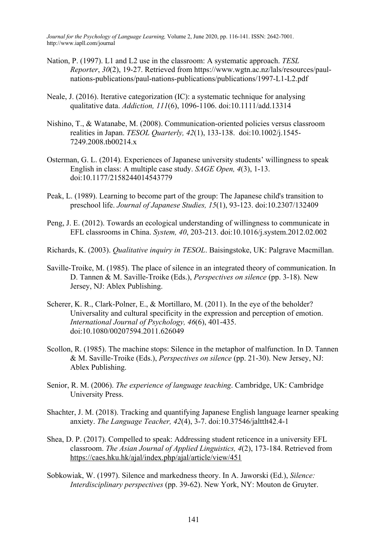- Nation, P. (1997). L1 and L2 use in the classroom: A systematic approach. *TESL Reporter*, *30*(2), 19-27. Retrieved from https://www.wgtn.ac.nz/lals/resources/paulnations-publications/paul-nations-publications/publications/1997-L1-L2.pdf
- Neale, J. (2016). Iterative categorization (IC): a systematic technique for analysing qualitative data. *Addiction, 111*(6), 1096-1106. doi:10.1111/add.13314
- Nishino, T., & Watanabe, M. (2008). Communication-oriented policies versus classroom realities in Japan. *TESOL Quarterly, 42*(1), 133-138. doi:10.1002/j.1545- 7249.2008.tb00214.x
- Osterman, G. L. (2014). Experiences of Japanese university students' willingness to speak English in class: A multiple case study. *SAGE Open, 4*(3), 1-13. doi:10.1177/2158244014543779
- Peak, L. (1989). Learning to become part of the group: The Japanese child's transition to preschool life. *Journal of Japanese Studies, 15*(1), 93-123. doi:10.2307/132409
- Peng, J. E. (2012). Towards an ecological understanding of willingness to communicate in EFL classrooms in China. *System, 40*, 203-213. doi:10.1016/j.system.2012.02.002
- Richards, K. (2003). *Qualitative inquiry in TESOL*. Baisingstoke, UK: Palgrave Macmillan.
- Saville-Troike, M. (1985). The place of silence in an integrated theory of communication. In D. Tannen & M. Saville-Troike (Eds.), *Perspectives on silence* (pp. 3-18). New Jersey, NJ: Ablex Publishing.
- Scherer, K. R., Clark-Polner, E., & Mortillaro, M. (2011). In the eye of the beholder? Universality and cultural specificity in the expression and perception of emotion. *International Journal of Psychology, 46*(6), 401-435. doi:10.1080/00207594.2011.626049
- Scollon, R. (1985). The machine stops: Silence in the metaphor of malfunction. In D. Tannen & M. Saville-Troike (Eds.), *Perspectives on silence* (pp. 21-30). New Jersey, NJ: Ablex Publishing.
- Senior, R. M. (2006). *The experience of language teaching*. Cambridge, UK: Cambridge University Press.
- Shachter, J. M. (2018). Tracking and quantifying Japanese English language learner speaking anxiety. *The Language Teacher, 42*(4), 3-7. doi:10.37546/jalttlt42.4-1
- Shea, D. P. (2017). Compelled to speak: Addressing student reticence in a university EFL classroom. *The Asian Journal of Applied Linguistics, 4*(2), 173-184. Retrieved from https://caes.hku.hk/ajal/index.php/ajal/article/view/451
- Sobkowiak, W. (1997). Silence and markedness theory. In A. Jaworski (Ed.), *Silence: Interdisciplinary perspectives* (pp. 39-62). New York, NY: Mouton de Gruyter.